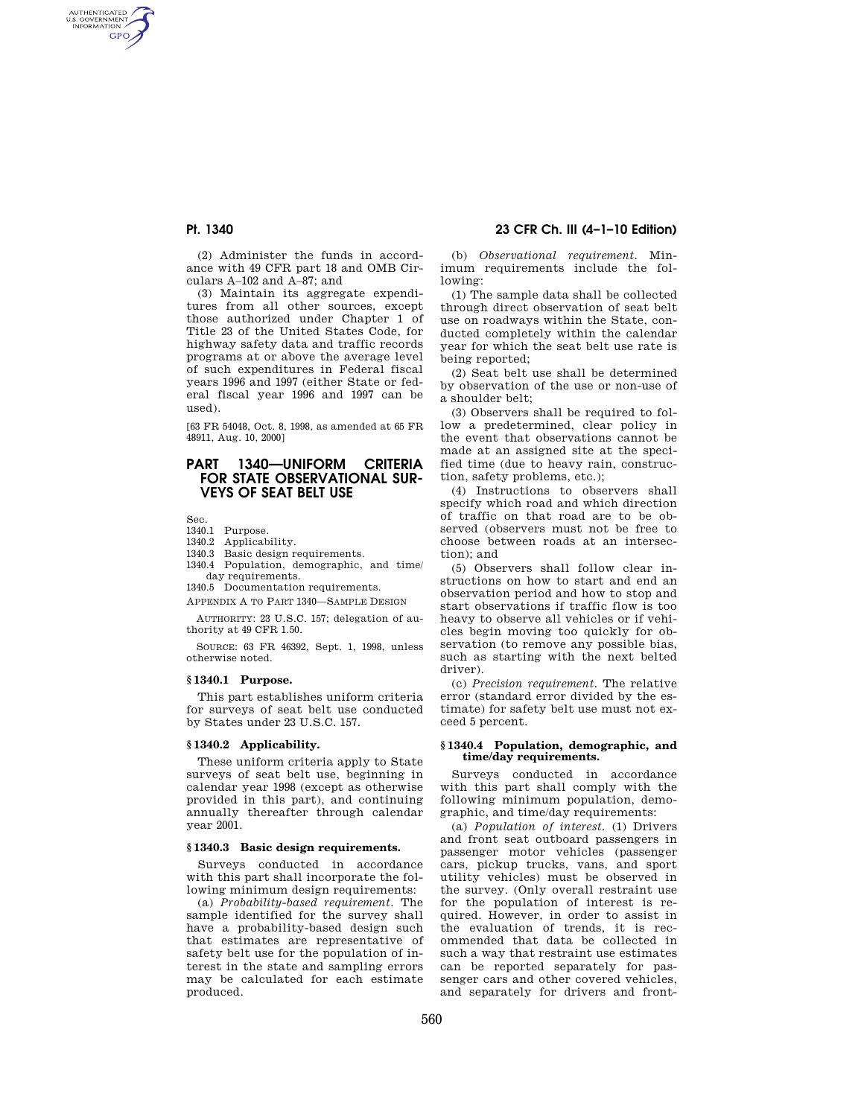AUTHENTICATED<br>U.S. GOVERNMENT<br>INFORMATION **GPO** 

> (2) Administer the funds in accordance with 49 CFR part 18 and OMB Circulars A–102 and A–87; and

> (3) Maintain its aggregate expenditures from all other sources, except those authorized under Chapter 1 of Title 23 of the United States Code, for highway safety data and traffic records programs at or above the average level of such expenditures in Federal fiscal years 1996 and 1997 (either State or federal fiscal year 1996 and 1997 can be used).

> [63 FR 54048, Oct. 8, 1998, as amended at 65 FR 48911, Aug. 10, 2000]

# **PART 1340—UNIFORM CRITERIA FOR STATE OBSERVATIONAL SUR-VEYS OF SEAT BELT USE**

Sec.

- 1340.1 Purpose.
- 1340.2 Applicability.
- 1340.3 Basic design requirements. 1340.4 Population, demographic, and time/
- day requirements. 1340.5 Documentation requirements.
- APPENDIX A TO PART 1340—SAMPLE DESIGN

AUTHORITY: 23 U.S.C. 157; delegation of authority at 49 CFR 1.50.

SOURCE: 63 FR 46392, Sept. 1, 1998, unless otherwise noted.

#### **§ 1340.1 Purpose.**

This part establishes uniform criteria for surveys of seat belt use conducted by States under 23 U.S.C. 157.

### **§ 1340.2 Applicability.**

These uniform criteria apply to State surveys of seat belt use, beginning in calendar year 1998 (except as otherwise provided in this part), and continuing annually thereafter through calendar year 2001.

#### **§ 1340.3 Basic design requirements.**

Surveys conducted in accordance with this part shall incorporate the following minimum design requirements:

(a) *Probability-based requirement.* The sample identified for the survey shall have a probability-based design such that estimates are representative of safety belt use for the population of interest in the state and sampling errors may be calculated for each estimate produced.

# **Pt. 1340 23 CFR Ch. III (4–1–10 Edition)**

(b) *Observational requirement.* Minimum requirements include the following:

(1) The sample data shall be collected through direct observation of seat belt use on roadways within the State, conducted completely within the calendar year for which the seat belt use rate is being reported;

(2) Seat belt use shall be determined by observation of the use or non-use of a shoulder belt;

(3) Observers shall be required to follow a predetermined, clear policy in the event that observations cannot be made at an assigned site at the specified time (due to heavy rain, construction, safety problems, etc.);

(4) Instructions to observers shall specify which road and which direction of traffic on that road are to be observed (observers must not be free to choose between roads at an intersection); and

(5) Observers shall follow clear instructions on how to start and end an observation period and how to stop and start observations if traffic flow is too heavy to observe all vehicles or if vehicles begin moving too quickly for observation (to remove any possible bias, such as starting with the next belted driver).

(c) *Precision requirement.* The relative error (standard error divided by the estimate) for safety belt use must not exceed 5 percent.

### **§ 1340.4 Population, demographic, and time/day requirements.**

Surveys conducted in accordance with this part shall comply with the following minimum population, demographic, and time/day requirements:

(a) *Population of interest.* (1) Drivers and front seat outboard passengers in passenger motor vehicles (passenger cars, pickup trucks, vans, and sport utility vehicles) must be observed in the survey. (Only overall restraint use for the population of interest is required. However, in order to assist in the evaluation of trends, it is recommended that data be collected in such a way that restraint use estimates can be reported separately for passenger cars and other covered vehicles, and separately for drivers and front-